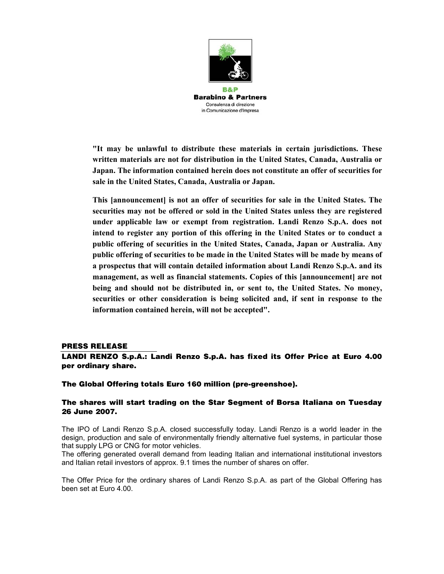

**"It may be unlawful to distribute these materials in certain jurisdictions. These written materials are not for distribution in the United States, Canada, Australia or Japan. The information contained herein does not constitute an offer of securities for sale in the United States, Canada, Australia or Japan.** 

**This [announcement] is not an offer of securities for sale in the United States. The securities may not be offered or sold in the United States unless they are registered under applicable law or exempt from registration. Landi Renzo S.p.A. does not intend to register any portion of this offering in the United States or to conduct a public offering of securities in the United States, Canada, Japan or Australia. Any public offering of securities to be made in the United States will be made by means of a prospectus that will contain detailed information about Landi Renzo S.p.A. and its management, as well as financial statements. Copies of this [announcement] are not being and should not be distributed in, or sent to, the United States. No money, securities or other consideration is being solicited and, if sent in response to the information contained herein, will not be accepted".** 

## **PRESS RELEASE**

## **LANDI RENZO S.p.A.: Landi Renzo S.p.A. has fixed its Offer Price at Euro 4.00 per ordinary share.**

## **The Global Offering totals Euro 160 million (pre-greenshoe).**

## **The shares will start trading on the Star Segment of Borsa Italiana on Tuesday 26 June 2007.**

The IPO of Landi Renzo S.p.A. closed successfully today. Landi Renzo is a world leader in the design, production and sale of environmentally friendly alternative fuel systems, in particular those that supply LPG or CNG for motor vehicles.

The offering generated overall demand from leading Italian and international institutional investors and Italian retail investors of approx. 9.1 times the number of shares on offer.

The Offer Price for the ordinary shares of Landi Renzo S.p.A. as part of the Global Offering has been set at Euro 4.00.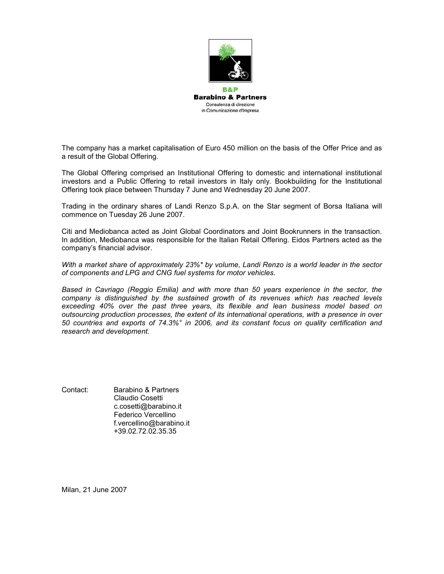

The company has a market capitalisation of Euro 450 million on the basis of the Offer Price and as a result of the Global Offering.

The Global Offering comprised an Institutional Offering to domestic and international institutional investors and a Public Offering to retail investors in Italy only. Bookbuilding for the Institutional Offering took place between Thursday 7 June and Wednesday 20 June 2007.

Trading in the ordinary shares of Landi Renzo S.p.A. on the Star segment of Borsa Italiana will commence on Tuesday 26 June 2007.

Citi and Mediobanca acted as Joint Global Coordinators and Joint Bookrunners in the transaction. In addition, Mediobanca was responsible for the Italian Retail Offering. Eidos Partners acted as the company's financial advisor.

*With a market share of approximately 23%\* by volume, Landi Renzo is a world leader in the sector of components and LPG and CNG fuel systems for motor vehicles.* 

*Based in Cavriago (Reggio Emilia) and with more than 50 years experience in the sector, the company is distinguished by the sustained growth of its revenues which has reached levels exceeding 40% over the past three years, its flexible and lean business model based on outsourcing production processes, the extent of its international operations, with a presence in over 50 countries and exports of 74.3%° in 2006, and its constant focus on quality certification and research and development.* 

Contact: Barabino & Partners Claudio Cosetti c.cosetti@barabino.it Federico Vercellino f.vercellino@barabino.it +39.02.72.02.35.35

Milan, 21 June 2007